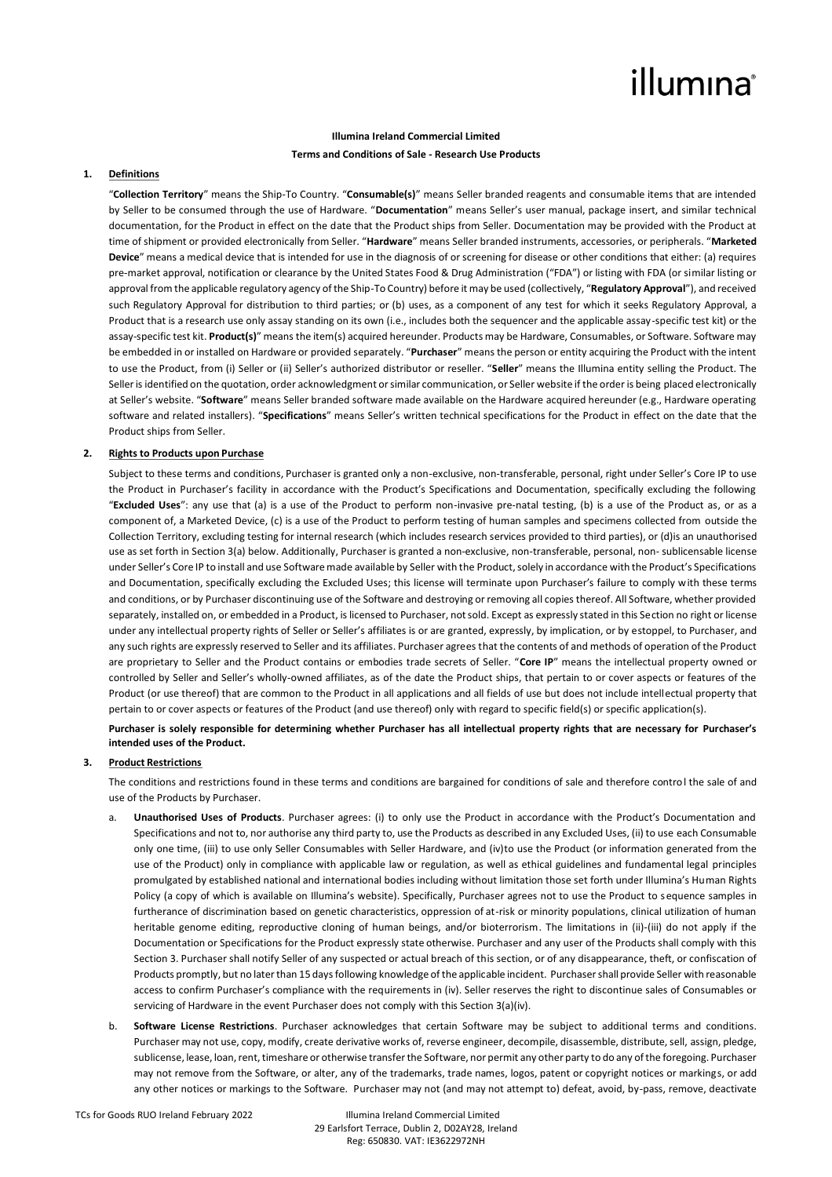## illumına

#### **Illumina Ireland Commercial Limited**

### **Terms and Conditions of Sale - Research Use Products**

### **1. Definitions**

"**Collection Territory**" means the Ship-To Country. "**Consumable(s)**" means Seller branded reagents and consumable items that are intended by Seller to be consumed through the use of Hardware. "**Documentation**" means Seller's user manual, package insert, and similar technical documentation, for the Product in effect on the date that the Product ships from Seller. Documentation may be provided with the Product at time of shipment or provided electronically from Seller. "**Hardware**" means Seller branded instruments, accessories, or peripherals. "**Marketed Device**" means a medical device that is intended for use in the diagnosis of or screening for disease or other conditions that either: (a) requires pre-market approval, notification or clearance by the United States Food & Drug Administration ("FDA") or listing with FDA (or similar listing or approval from the applicable regulatory agency of the Ship-To Country) before it may be used (collectively, "**Regulatory Approval**"), and received such Regulatory Approval for distribution to third parties; or (b) uses, as a component of any test for which it seeks Regulatory Approval, a Product that is a research use only assay standing on its own (i.e., includes both the sequencer and the applicable assay-specific test kit) or the assay-specific test kit. **Product(s)**" means the item(s) acquired hereunder. Products may be Hardware, Consumables, or Software. Software may be embedded in or installed on Hardware or provided separately. "**Purchaser**" means the person or entity acquiring the Product with the intent to use the Product, from (i) Seller or (ii) Seller's authorized distributor or reseller. "**Seller**" means the Illumina entity selling the Product. The Seller is identified on the quotation, order acknowledgment or similar communication, or Seller website if the order is being placed electronically at Seller's website. "**Software**" means Seller branded software made available on the Hardware acquired hereunder (e.g., Hardware operating software and related installers). "**Specifications**" means Seller's written technical specifications for the Product in effect on the date that the Product ships from Seller.

#### **2. Rights to Products upon Purchase**

Subject to these terms and conditions, Purchaser is granted only a non-exclusive, non-transferable, personal, right under Seller's Core IP to use the Product in Purchaser's facility in accordance with the Product's Specifications and Documentation, specifically excluding the following "**Excluded Uses**": any use that (a) is a use of the Product to perform non-invasive pre-natal testing, (b) is a use of the Product as, or as a component of, a Marketed Device, (c) is a use of the Product to perform testing of human samples and specimens collected from outside the Collection Territory, excluding testing for internal research (which includes research services provided to third parties), or (d)is an unauthorised use as set forth in Section 3(a) below. Additionally, Purchaser is granted a non-exclusive, non-transferable, personal, non- sublicensable license under Seller's Core IP to install and use Software made available by Seller with the Product, solely in accordance with the Product's Specifications and Documentation, specifically excluding the Excluded Uses; this license will terminate upon Purchaser's failure to comply with these terms and conditions, or by Purchaser discontinuing use of the Software and destroying or removing all copies thereof. All Software, whether provided separately, installed on, or embedded in a Product, is licensed to Purchaser, not sold. Except as expressly stated in this Section no right or license under any intellectual property rights of Seller or Seller's affiliates is or are granted, expressly, by implication, or by estoppel, to Purchaser, and any such rights are expressly reserved to Seller and its affiliates. Purchaser agrees that the contents of and methods of operation of the Product are proprietary to Seller and the Product contains or embodies trade secrets of Seller. "**Core IP**" means the intellectual property owned or controlled by Seller and Seller's wholly-owned affiliates, as of the date the Product ships, that pertain to or cover aspects or features of the Product (or use thereof) that are common to the Product in all applications and all fields of use but does not include intellectual property that pertain to or cover aspects or features of the Product (and use thereof) only with regard to specific field(s) or specific application(s).

**Purchaser is solely responsible for determining whether Purchaser has all intellectual property rights that are necessary for Purchaser's intended uses of the Product.**

#### **3. Product Restrictions**

The conditions and restrictions found in these terms and conditions are bargained for conditions of sale and therefore control the sale of and use of the Products by Purchaser.

- a. **Unauthorised Uses of Products**. Purchaser agrees: (i) to only use the Product in accordance with the Product's Documentation and Specifications and not to, nor authorise any third party to, use the Products as described in any Excluded Uses, (ii) to use each Consumable only one time, (iii) to use only Seller Consumables with Seller Hardware, and (iv)to use the Product (or information generated from the use of the Product) only in compliance with applicable law or regulation, as well as ethical guidelines and fundamental legal principles promulgated by established national and international bodies including without limitation those set forth under Illumina's Human Rights Policy (a copy of which is available on Illumina's website). Specifically, Purchaser agrees not to use the Product to sequence samples in furtherance of discrimination based on genetic characteristics, oppression of at-risk or minority populations, clinical utilization of human heritable genome editing, reproductive cloning of human beings, and/or bioterrorism. The limitations in (ii)-(iii) do not apply if the Documentation or Specifications for the Product expressly state otherwise. Purchaser and any user of the Products shall comply with this Section 3. Purchaser shall notify Seller of any suspected or actual breach of this section, or of any disappearance, theft, or confiscation of Products promptly, but no later than 15 days following knowledge of the applicable incident. Purchaser shall provide Seller with reasonable access to confirm Purchaser's compliance with the requirements in (iv). Seller reserves the right to discontinue sales of Consumables or servicing of Hardware in the event Purchaser does not comply with this Section 3(a)(iv).
- b. **Software License Restrictions**. Purchaser acknowledges that certain Software may be subject to additional terms and conditions. Purchaser may not use, copy, modify, create derivative works of, reverse engineer, decompile, disassemble, distribute, sell, assign, pledge, sublicense, lease, loan, rent, timeshare or otherwise transfer the Software, nor permit any other party to do any of the foregoing. Purchaser may not remove from the Software, or alter, any of the trademarks, trade names, logos, patent or copyright notices or markings, or add any other notices or markings to the Software. Purchaser may not (and may not attempt to) defeat, avoid, by-pass, remove, deactivate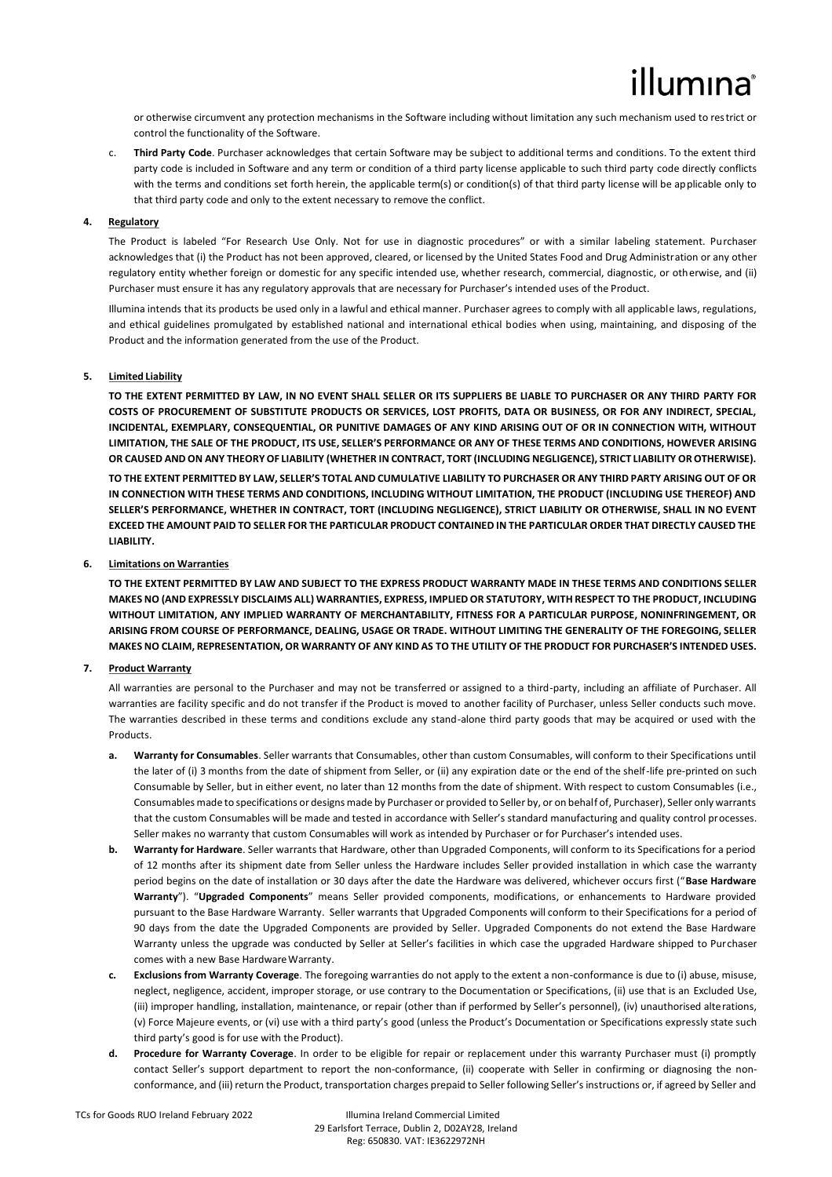or otherwise circumvent any protection mechanisms in the Software including without limitation any such mechanism used to restrict or control the functionality of the Software.

c. **Third Party Code**. Purchaser acknowledges that certain Software may be subject to additional terms and conditions. To the extent third party code is included in Software and any term or condition of a third party license applicable to such third party code directly conflicts with the terms and conditions set forth herein, the applicable term(s) or condition(s) of that third party license will be applicable only to that third party code and only to the extent necessary to remove the conflict.

### **4. Regulatory**

The Product is labeled "For Research Use Only. Not for use in diagnostic procedures" or with a similar labeling statement. Purchaser acknowledges that (i) the Product has not been approved, cleared, or licensed by the United States Food and Drug Administration or any other regulatory entity whether foreign or domestic for any specific intended use, whether research, commercial, diagnostic, or otherwise, and (ii) Purchaser must ensure it has any regulatory approvals that are necessary for Purchaser's intended uses of the Product.

Illumina intends that its products be used only in a lawful and ethical manner. Purchaser agrees to comply with all applicable laws, regulations, and ethical guidelines promulgated by established national and international ethical bodies when using, maintaining, and disposing of the Product and the information generated from the use of the Product.

#### **5. Limited Liability**

**TO THE EXTENT PERMITTED BY LAW, IN NO EVENT SHALL SELLER OR ITS SUPPLIERS BE LIABLE TO PURCHASER OR ANY THIRD PARTY FOR COSTS OF PROCUREMENT OF SUBSTITUTE PRODUCTS OR SERVICES, LOST PROFITS, DATA OR BUSINESS, OR FOR ANY INDIRECT, SPECIAL, INCIDENTAL, EXEMPLARY, CONSEQUENTIAL, OR PUNITIVE DAMAGES OF ANY KIND ARISING OUT OF OR IN CONNECTION WITH, WITHOUT LIMITATION, THE SALE OF THE PRODUCT, ITS USE, SELLER'S PERFORMANCE OR ANY OF THESE TERMS AND CONDITIONS, HOWEVER ARISING OR CAUSED AND ON ANY THEORY OF LIABILITY (WHETHER IN CONTRACT, TORT (INCLUDING NEGLIGENCE), STRICT LIABILITY OR OTHERWISE).**

**TO THE EXTENT PERMITTED BY LAW, SELLER'S TOTAL AND CUMULATIVE LIABILITY TO PURCHASER OR ANY THIRD PARTY ARISING OUT OF OR IN CONNECTION WITH THESE TERMS AND CONDITIONS, INCLUDING WITHOUT LIMITATION, THE PRODUCT (INCLUDING USE THEREOF) AND SELLER'S PERFORMANCE, WHETHER IN CONTRACT, TORT (INCLUDING NEGLIGENCE), STRICT LIABILITY OR OTHERWISE, SHALL IN NO EVENT EXCEED THE AMOUNT PAID TO SELLER FOR THE PARTICULAR PRODUCT CONTAINED IN THE PARTICULAR ORDER THAT DIRECTLY CAUSED THE LIABILITY.**

#### **6. Limitations on Warranties**

**TO THE EXTENT PERMITTED BY LAW AND SUBJECT TO THE EXPRESS PRODUCT WARRANTY MADE IN THESE TERMS AND CONDITIONS SELLER MAKES NO (AND EXPRESSLY DISCLAIMS ALL) WARRANTIES, EXPRESS, IMPLIED OR STATUTORY, WITH RESPECT TO THE PRODUCT, INCLUDING WITHOUT LIMITATION, ANY IMPLIED WARRANTY OF MERCHANTABILITY, FITNESS FOR A PARTICULAR PURPOSE, NONINFRINGEMENT, OR ARISING FROM COURSE OF PERFORMANCE, DEALING, USAGE OR TRADE. WITHOUT LIMITING THE GENERALITY OF THE FOREGOING, SELLER MAKES NO CLAIM, REPRESENTATION, OR WARRANTY OF ANY KIND AS TO THE UTILITY OF THE PRODUCT FOR PURCHASER'S INTENDED USES.**

#### **7. Product Warranty**

All warranties are personal to the Purchaser and may not be transferred or assigned to a third-party, including an affiliate of Purchaser. All warranties are facility specific and do not transfer if the Product is moved to another facility of Purchaser, unless Seller conducts such move. The warranties described in these terms and conditions exclude any stand-alone third party goods that may be acquired or used with the **Products** 

- **a. Warranty for Consumables**. Seller warrants that Consumables, other than custom Consumables, will conform to their Specifications until the later of (i) 3 months from the date of shipment from Seller, or (ii) any expiration date or the end of the shelf-life pre-printed on such Consumable by Seller, but in either event, no later than 12 months from the date of shipment. With respect to custom Consumables (i.e., Consumables made to specifications or designs made by Purchaser or provided to Seller by, or on behalf of, Purchaser), Seller only warrants that the custom Consumables will be made and tested in accordance with Seller's standard manufacturing and quality control processes. Seller makes no warranty that custom Consumables will work as intended by Purchaser or for Purchaser's intended uses.
- **b. Warranty for Hardware**. Seller warrants that Hardware, other than Upgraded Components, will conform to its Specifications for a period of 12 months after its shipment date from Seller unless the Hardware includes Seller provided installation in which case the warranty period begins on the date of installation or 30 days after the date the Hardware was delivered, whichever occurs first ("**Base Hardware Warranty**"). "**Upgraded Components**" means Seller provided components, modifications, or enhancements to Hardware provided pursuant to the Base Hardware Warranty. Seller warrants that Upgraded Components will conform to their Specifications for a period of 90 days from the date the Upgraded Components are provided by Seller. Upgraded Components do not extend the Base Hardware Warranty unless the upgrade was conducted by Seller at Seller's facilities in which case the upgraded Hardware shipped to Purchaser comes with a new Base HardwareWarranty.
- **c. Exclusions from Warranty Coverage**. The foregoing warranties do not apply to the extent a non-conformance is due to (i) abuse, misuse, neglect, negligence, accident, improper storage, or use contrary to the Documentation or Specifications, (ii) use that is an Excluded Use, (iii) improper handling, installation, maintenance, or repair (other than if performed by Seller's personnel), (iv) unauthorised alterations, (v) Force Majeure events, or (vi) use with a third party's good (unless the Product's Documentation or Specifications expressly state such third party's good is for use with the Product).
- **d. Procedure for Warranty Coverage**. In order to be eligible for repair or replacement under this warranty Purchaser must (i) promptly contact Seller's support department to report the non-conformance, (ii) cooperate with Seller in confirming or diagnosing the nonconformance, and (iii) return the Product, transportation charges prepaid to Seller following Seller's instructions or, if agreed by Seller and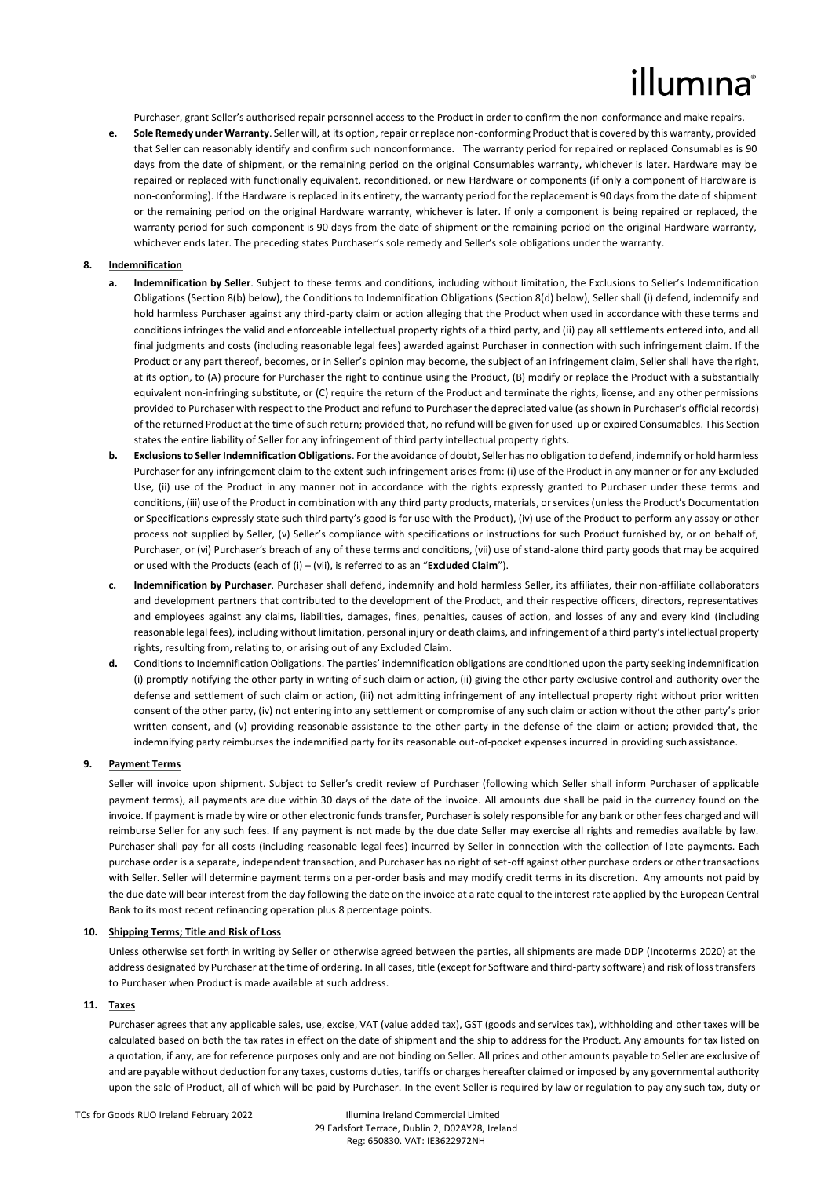# lumına

Purchaser, grant Seller's authorised repair personnel access to the Product in order to confirm the non-conformance and make repairs.

**e. Sole Remedy under Warranty**. Seller will, at its option, repair or replace non-conforming Product that is covered by this warranty, provided that Seller can reasonably identify and confirm such nonconformance. The warranty period for repaired or replaced Consumables is 90 days from the date of shipment, or the remaining period on the original Consumables warranty, whichever is later. Hardware may be repaired or replaced with functionally equivalent, reconditioned, or new Hardware or components (if only a component of Hardware is non-conforming). If the Hardware is replaced in its entirety, the warranty period for the replacement is 90 days from the date of shipment or the remaining period on the original Hardware warranty, whichever is later. If only a component is being repaired or replaced, the warranty period for such component is 90 days from the date of shipment or the remaining period on the original Hardware warranty, whichever ends later. The preceding states Purchaser's sole remedy and Seller's sole obligations under the warranty.

#### **8. Indemnification**

- **a. Indemnification by Seller**. Subject to these terms and conditions, including without limitation, the Exclusions to Seller's Indemnification Obligations (Section 8(b) below), the Conditions to Indemnification Obligations (Section 8(d) below), Seller shall (i) defend, indemnify and hold harmless Purchaser against any third-party claim or action alleging that the Product when used in accordance with these terms and conditions infringes the valid and enforceable intellectual property rights of a third party, and (ii) pay all settlements entered into, and all final judgments and costs (including reasonable legal fees) awarded against Purchaser in connection with such infringement claim. If the Product or any part thereof, becomes, or in Seller's opinion may become, the subject of an infringement claim, Seller shall have the right, at its option, to (A) procure for Purchaser the right to continue using the Product, (B) modify or replace the Product with a substantially equivalent non-infringing substitute, or (C) require the return of the Product and terminate the rights, license, and any other permissions provided to Purchaser with respect to the Product and refund to Purchaser the depreciated value (as shown in Purchaser's official records) of the returned Product at the time of such return; provided that, no refund will be given for used-up or expired Consumables. This Section states the entire liability of Seller for any infringement of third party intellectual property rights.
- **b. Exclusions to Seller Indemnification Obligations**. For the avoidance of doubt, Seller has no obligation to defend, indemnify or hold harmless Purchaser for any infringement claim to the extent such infringement arises from: (i) use of the Product in any manner or for any Excluded Use, (ii) use of the Product in any manner not in accordance with the rights expressly granted to Purchaser under these terms and conditions, (iii) use of the Product in combination with any third party products, materials, or services (unless the Product's Documentation or Specifications expressly state such third party's good is for use with the Product), (iv) use of the Product to perform any assay or other process not supplied by Seller, (v) Seller's compliance with specifications or instructions for such Product furnished by, or on behalf of, Purchaser, or (vi) Purchaser's breach of any of these terms and conditions, (vii) use of stand-alone third party goods that may be acquired or used with the Products (each of (i) – (vii), is referred to as an "**Excluded Claim**").
- **c. Indemnification by Purchaser**. Purchaser shall defend, indemnify and hold harmless Seller, its affiliates, their non-affiliate collaborators and development partners that contributed to the development of the Product, and their respective officers, directors, representatives and employees against any claims, liabilities, damages, fines, penalties, causes of action, and losses of any and every kind (including reasonable legal fees), including without limitation, personal injury or death claims, and infringement of a third party's intellectual property rights, resulting from, relating to, or arising out of any Excluded Claim.
- **d.** Conditions to Indemnification Obligations. The parties' indemnification obligations are conditioned upon the party seeking indemnification (i) promptly notifying the other party in writing of such claim or action, (ii) giving the other party exclusive control and authority over the defense and settlement of such claim or action, (iii) not admitting infringement of any intellectual property right without prior written consent of the other party, (iv) not entering into any settlement or compromise of any such claim or action without the other party's prior written consent, and (v) providing reasonable assistance to the other party in the defense of the claim or action; provided that, the indemnifying party reimburses the indemnified party for its reasonable out-of-pocket expenses incurred in providing suchassistance.

#### **9. Payment Terms**

Seller will invoice upon shipment. Subject to Seller's credit review of Purchaser (following which Seller shall inform Purchaser of applicable payment terms), all payments are due within 30 days of the date of the invoice. All amounts due shall be paid in the currency found on the invoice. If payment is made by wire or other electronic funds transfer, Purchaser is solely responsible for any bank or other fees charged and will reimburse Seller for any such fees. If any payment is not made by the due date Seller may exercise all rights and remedies available by law. Purchaser shall pay for all costs (including reasonable legal fees) incurred by Seller in connection with the collection of late payments. Each purchase order is a separate, independent transaction, and Purchaser has no right of set-off against other purchase orders or other transactions with Seller. Seller will determine payment terms on a per-order basis and may modify credit terms in its discretion. Any amounts not paid by the due date will bear interest from the day following the date on the invoice at a rate equal to the interest rate applied by the European Central Bank to its most recent refinancing operation plus 8 percentage points.

#### **10. Shipping Terms; Title and Risk of Loss**

Unless otherwise set forth in writing by Seller or otherwise agreed between the parties, all shipments are made DDP (Incoterms 2020) at the address designated by Purchaser at the time of ordering. In all cases, title (except for Software and third-party software) and risk of loss transfers to Purchaser when Product is made available at such address.

#### **11. Taxes**

Purchaser agrees that any applicable sales, use, excise, VAT (value added tax), GST (goods and services tax), withholding and other taxes will be calculated based on both the tax rates in effect on the date of shipment and the ship to address for the Product. Any amounts for tax listed on a quotation, if any, are for reference purposes only and are not binding on Seller. All prices and other amounts payable to Seller are exclusive of and are payable without deduction for any taxes, customs duties, tariffs or charges hereafter claimed or imposed by any governmental authority upon the sale of Product, all of which will be paid by Purchaser. In the event Seller is required by law or regulation to pay any such tax, duty or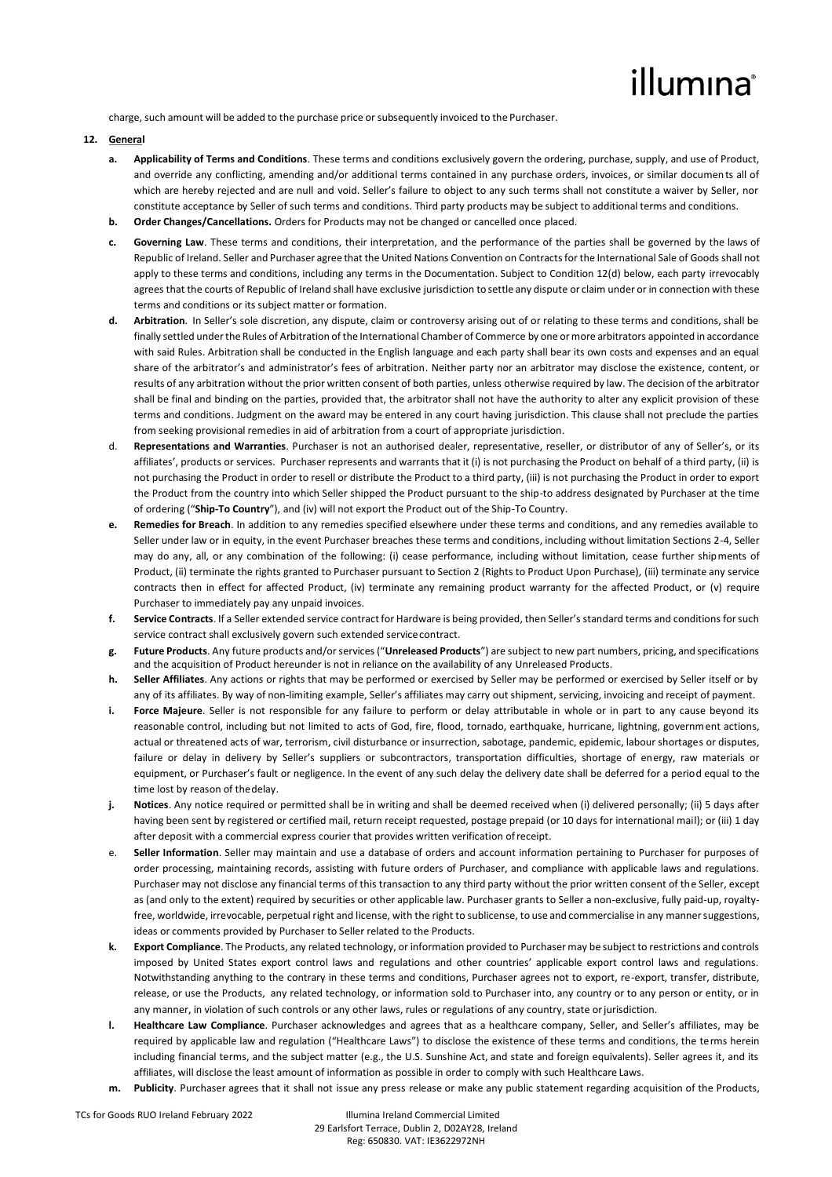# illumına

charge, such amount will be added to the purchase price or subsequently invoiced to the Purchaser.

### **12. General**

- **a. Applicability of Terms and Conditions**. These terms and conditions exclusively govern the ordering, purchase, supply, and use of Product, and override any conflicting, amending and/or additional terms contained in any purchase orders, invoices, or similar documents all of which are hereby rejected and are null and void. Seller's failure to object to any such terms shall not constitute a waiver by Seller, nor constitute acceptance by Seller of such terms and conditions. Third party products may be subject to additional terms and conditions.
- **b. Order Changes/Cancellations.** Orders for Products may not be changed or cancelled once placed.
- **c. Governing Law**. These terms and conditions, their interpretation, and the performance of the parties shall be governed by the laws of Republic of Ireland. Seller and Purchaser agree that the United Nations Convention on Contractsfor the International Sale of Goods shall not apply to these terms and conditions, including any terms in the Documentation. Subject to Condition 12(d) below, each party irrevocably agrees that the courts of Republic of Ireland shall have exclusive jurisdiction tosettle any dispute or claim under or in connection with these terms and conditions or its subject matter or formation.
- **d. Arbitration**. In Seller's sole discretion, any dispute, claim or controversy arising out of or relating to these terms and conditions, shall be finally settled under the Rules of Arbitration of the International Chamber of Commerce by one or more arbitrators appointed in accordance with said Rules. Arbitration shall be conducted in the English language and each party shall bear its own costs and expenses and an equal share of the arbitrator's and administrator's fees of arbitration. Neither party nor an arbitrator may disclose the existence, content, or results of any arbitration without the prior written consent of both parties, unless otherwise required by law. The decision of the arbitrator shall be final and binding on the parties, provided that, the arbitrator shall not have the authority to alter any explicit provision of these terms and conditions. Judgment on the award may be entered in any court having jurisdiction. This clause shall not preclude the parties from seeking provisional remedies in aid of arbitration from a court of appropriate jurisdiction.
- d. **Representations and Warranties**. Purchaser is not an authorised dealer, representative, reseller, or distributor of any of Seller's, or its affiliates', products or services. Purchaser represents and warrants that it (i) is not purchasing the Product on behalf of a third party, (ii) is not purchasing the Product in order to resell or distribute the Product to a third party, (iii) is not purchasing the Product in order to export the Product from the country into which Seller shipped the Product pursuant to the ship-to address designated by Purchaser at the time of ordering ("**Ship-To Country**"), and (iv) will not export the Product out of the Ship-To Country.
- **e. Remedies for Breach**. In addition to any remedies specified elsewhere under these terms and conditions, and any remedies available to Seller under law or in equity, in the event Purchaser breaches these terms and conditions, including without limitation Sections 2-4, Seller may do any, all, or any combination of the following: (i) cease performance, including without limitation, cease further shipments of Product, (ii) terminate the rights granted to Purchaser pursuant to Section 2 (Rights to Product Upon Purchase), (iii) terminate any service contracts then in effect for affected Product, (iv) terminate any remaining product warranty for the affected Product, or (v) require Purchaser to immediately pay any unpaid invoices.
- **f. Service Contracts**. If a Seller extended service contract for Hardware is being provided, then Seller's standard terms and conditions for such service contract shall exclusively govern such extended service contract.
- **g. Future Products**. Any future products and/or services ("**Unreleased Products**") are subject to new part numbers, pricing, and specifications and the acquisition of Product hereunder is not in reliance on the availability of any Unreleased Products.
- **h. Seller Affiliates**. Any actions or rights that may be performed or exercised by Seller may be performed or exercised by Seller itself or by any of its affiliates. By way of non-limiting example, Seller's affiliates may carry out shipment, servicing, invoicing and receipt of payment.
- **i. Force Majeure**. Seller is not responsible for any failure to perform or delay attributable in whole or in part to any cause beyond its reasonable control, including but not limited to acts of God, fire, flood, tornado, earthquake, hurricane, lightning, government actions, actual or threatened acts of war, terrorism, civil disturbance or insurrection, sabotage, pandemic, epidemic, labour shortages or disputes, failure or delay in delivery by Seller's suppliers or subcontractors, transportation difficulties, shortage of energy, raw materials or equipment, or Purchaser's fault or negligence. In the event of any such delay the delivery date shall be deferred for a period equal to the time lost by reason of thedelay.
- **j. Notices**. Any notice required or permitted shall be in writing and shall be deemed received when (i) delivered personally; (ii) 5 days after having been sent by registered or certified mail, return receipt requested, postage prepaid (or 10 days for international mail); or (iii) 1 day after deposit with a commercial express courier that provides written verification ofreceipt.
- e. **Seller Information**. Seller may maintain and use a database of orders and account information pertaining to Purchaser for purposes of order processing, maintaining records, assisting with future orders of Purchaser, and compliance with applicable laws and regulations. Purchaser may not disclose any financial terms of this transaction to any third party without the prior written consent of the Seller, except as (and only to the extent) required by securities or other applicable law. Purchaser grants to Seller a non-exclusive, fully paid-up, royaltyfree, worldwide, irrevocable, perpetual right and license, with the right to sublicense, to use and commercialise in any mannersuggestions, ideas or comments provided by Purchaser to Seller related to the Products.
- **k. Export Compliance**. The Products, any related technology, or information provided to Purchaser may be subject to restrictions and controls imposed by United States export control laws and regulations and other countries' applicable export control laws and regulations. Notwithstanding anything to the contrary in these terms and conditions, Purchaser agrees not to export, re-export, transfer, distribute, release, or use the Products, any related technology, or information sold to Purchaser into, any country or to any person or entity, or in any manner, in violation of such controls or any other laws, rules or regulations of any country, state orjurisdiction.
- **l. Healthcare Law Compliance**. Purchaser acknowledges and agrees that as a healthcare company, Seller, and Seller's affiliates, may be required by applicable law and regulation ("Healthcare Laws") to disclose the existence of these terms and conditions, the terms herein including financial terms, and the subject matter (e.g., the U.S. Sunshine Act, and state and foreign equivalents). Seller agrees it, and its affiliates, will disclose the least amount of information as possible in order to comply with such Healthcare Laws.
- **m. Publicity**. Purchaser agrees that it shall not issue any press release or make any public statement regarding acquisition of the Products,